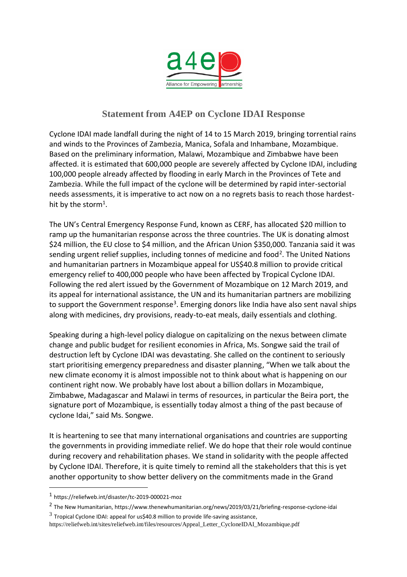

## **Statement from A4EP on Cyclone IDAI Response**

Cyclone IDAI made landfall during the night of 14 to 15 March 2019, bringing torrential rains and winds to the Provinces of Zambezia, Manica, Sofala and Inhambane, Mozambique. Based on the preliminary information, Malawi, Mozambique and Zimbabwe have been affected. it is estimated that 600,000 people are severely affected by Cyclone IDAI, including 100,000 people already affected by flooding in early March in the Provinces of Tete and Zambezia. While the full impact of the cyclone will be determined by rapid inter-sectorial needs assessments, it is imperative to act now on a no regrets basis to reach those hardesthit by the storm<sup>1</sup>.

The UN's Central Emergency Response Fund, known as CERF, has allocated \$20 [million](https://reliefweb.int/report/mozambique/un-emergency-fund-allocates-20-million-ramp-response-cyclone-idai-southern-africa) to ramp up the humanitarian response across the three countries. The [UK](https://dfidnews.blog.gov.uk/2019/03/20/uk-aid-response-to-east-african-cyclone/) is donating almost \$24 million, the [EU](https://ec.europa.eu/echo/news/eu-provides-35-million-emergency-aid-following-cyclone-idai-and-deadly-floods-mozambique-malawi_en) close to \$4 million, and the [African](https://au.int/en/pressreleases/20190320/african-union-contribute-350000usd-disaster-efforts-mozambique-zimbabwe-and) Union \$350,000. [Tanzania](https://www.thecitizen.co.tz/News/Tanzania-sends-relief-aid-to-flood-ravaged-Zimbabwe--Malawi-/1840340-5032530-3ni1u2/index.html?utm_source=OCHA+ROSEA+Master+List&utm_campaign=a66157fa1b-MEDIA_SWEEP_2018_10__COPY_01&utm_medium=email&utm_term=0_319edf26b8-a66157fa1b-107679557) said it was sending urgent relief supplies, including tonnes of medicine and food<sup>2</sup>. The United Nations and humanitarian partners in Mozambique appeal for US\$40.8 million to provide critical emergency relief to 400,000 people who have been affected by Tropical Cyclone IDAI. Following the red alert issued by the Government of Mozambique on 12 March 2019, and its appeal for international assistance, the UN and its humanitarian partners are mobilizing to support the Government response<sup>3</sup>. Emerging donors like India have also sent naval ships along with medicines, dry provisions, ready-to-eat meals, daily essentials and clothing.

Speaking during a high-level policy dialogue on capitalizing on the nexus between climate change and public budget for resilient economies in Africa, Ms. Songwe said the trail of destruction left by Cyclone IDAI was devastating. She called on the continent to seriously start prioritising emergency preparedness and disaster planning, "When we talk about the new climate economy it is almost impossible not to think about what is happening on our continent right now. We probably have lost about a billion dollars in Mozambique, Zimbabwe, Madagascar and Malawi in terms of resources, in particular the Beira port, the signature port of Mozambique, is essentially today almost a thing of the past because of cyclone Idai," said Ms. Songwe.

It is heartening to see that many international organisations and countries are supporting the governments in providing immediate relief. We do hope that their role would continue during recovery and rehabilitation phases. We stand in solidarity with the people affected by Cyclone IDAI. Therefore, it is quite timely to remind all the stakeholders that this is yet another opportunity to show better delivery on the commitments made in the Grand

 $\overline{a}$ 

<sup>1</sup> https://reliefweb.int/disaster/tc-2019-000021-moz

<sup>2</sup> The New Humanitarian, https://www.thenewhumanitarian.org/news/2019/03/21/briefing-response-cyclone-idai

 $^3$  Tropical Cyclone IDAI: appeal for us\$40.8 million to provide life-saving assistance, https://reliefweb.int/sites/reliefweb.int/files/resources/Appeal\_Letter\_CycloneIDAI\_Mozambique.pdf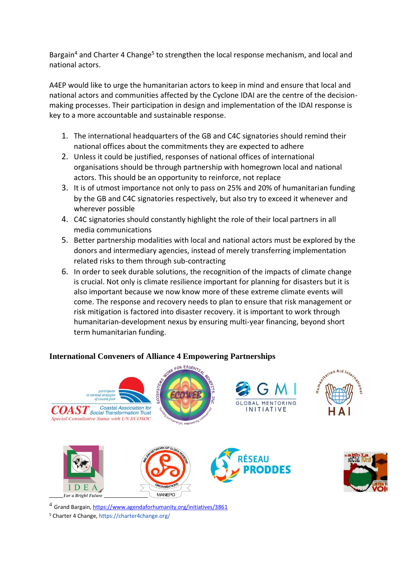Bargain<sup>4</sup> and Charter 4 Change<sup>5</sup> to strengthen the local response mechanism, and local and national actors.

A4EP would like to urge the humanitarian actors to keep in mind and ensure that local and national actors and communities affected by the Cyclone IDAI are the centre of the decisionmaking processes. Their participation in design and implementation of the IDAI response is key to a more accountable and sustainable response.

- 1. The international headquarters of the GB and C4C signatories should remind their national offices about the commitments they are expected to adhere
- 2. Unless it could be justified, responses of national offices of international organisations should be through partnership with homegrown local and national actors. This should be an opportunity to reinforce, not replace
- 3. It is of utmost importance not only to pass on 25% and 20% of humanitarian funding by the GB and C4C signatories respectively, but also try to exceed it whenever and wherever possible
- 4. C4C signatories should constantly highlight the role of their local partners in all media communications
- 5. Better partnership modalities with local and national actors must be explored by the donors and intermediary agencies, instead of merely transferring implementation related risks to them through sub-contracting
- 6. In order to seek durable solutions, the recognition of the impacts of climate change is crucial. Not only is climate resilience important for planning for disasters but it is also important because we now know more of these extreme climate events will come. The response and recovery needs to plan to ensure that risk management or risk mitigation is factored into disaster recovery. it is important to work through humanitarian-development nexus by ensuring multi-year financing, beyond short term humanitarian funding.

## **International Conveners of Alliance 4 Empowering Partnerships**



<sup>4</sup> Grand Bargain[, https://www.agendaforhumanity.org/initiatives/3861](https://www.agendaforhumanity.org/initiatives/3861)

<sup>5</sup> Charter 4 Change, https://charter4change.org/